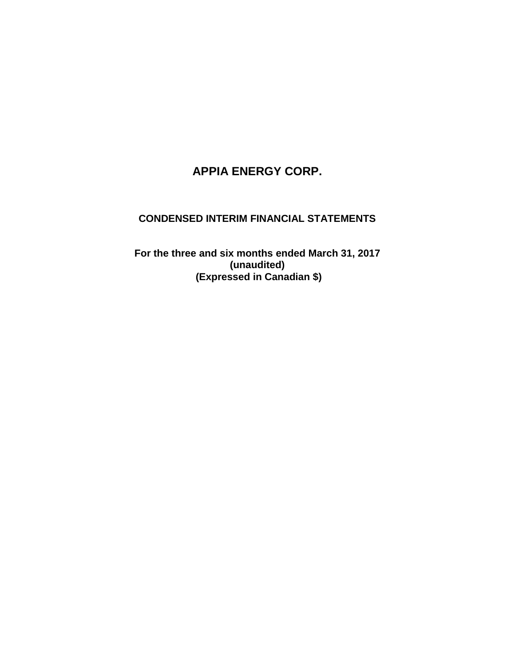# **APPIA ENERGY CORP.**

## **CONDENSED INTERIM FINANCIAL STATEMENTS**

**For the three and six months ended March 31, 2017 (unaudited) (Expressed in Canadian \$)**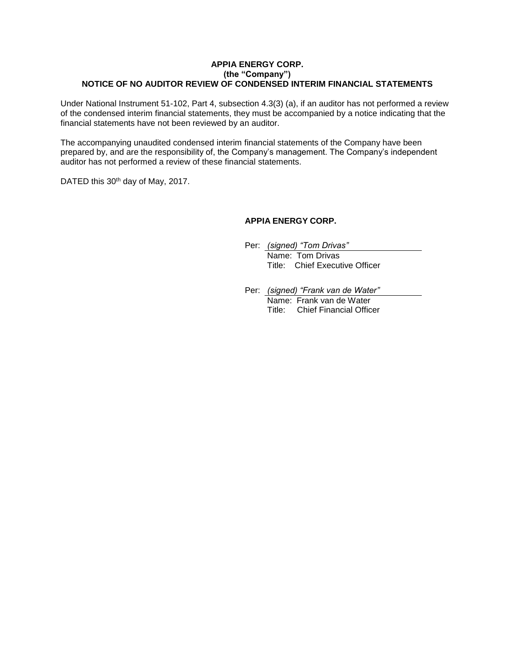#### **APPIA ENERGY CORP. (the "Company") NOTICE OF NO AUDITOR REVIEW OF CONDENSED INTERIM FINANCIAL STATEMENTS**

Under National Instrument 51-102, Part 4, subsection 4.3(3) (a), if an auditor has not performed a review of the condensed interim financial statements, they must be accompanied by a notice indicating that the financial statements have not been reviewed by an auditor.

The accompanying unaudited condensed interim financial statements of the Company have been prepared by, and are the responsibility of, the Company's management. The Company's independent auditor has not performed a review of these financial statements.

DATED this 30<sup>th</sup> day of May, 2017.

#### **APPIA ENERGY CORP.**

- Per: *(signed) "Tom Drivas"* Name: Tom Drivas Title: Chief Executive Officer
- Per: *(signed) "Frank van de Water"* Name: Frank van de Water Title: Chief Financial Officer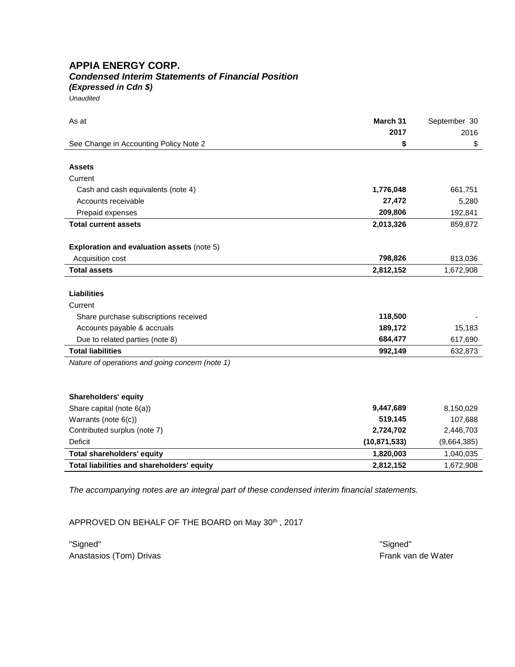## **APPIA ENERGY CORP.** *Condensed Interim Statements of Financial Position*

*(Expressed in Cdn \$)*

*Unaudited*

| As at                                             | March 31       | September 30 |
|---------------------------------------------------|----------------|--------------|
|                                                   | 2017           | 2016         |
| See Change in Accounting Policy Note 2            | \$             | \$           |
|                                                   |                |              |
| <b>Assets</b>                                     |                |              |
| Current                                           |                |              |
| Cash and cash equivalents (note 4)                | 1,776,048      | 661,751      |
| Accounts receivable                               | 27,472         | 5,280        |
| Prepaid expenses                                  | 209,806        | 192,841      |
| <b>Total current assets</b>                       | 2,013,326      | 859,872      |
|                                                   |                |              |
| <b>Exploration and evaluation assets (note 5)</b> |                |              |
| Acquisition cost                                  | 798,826        | 813,036      |
| <b>Total assets</b>                               | 2,812,152      | 1,672,908    |
|                                                   |                |              |
| <b>Liabilities</b>                                |                |              |
| Current                                           |                |              |
| Share purchase subscriptions received             | 118,500        |              |
| Accounts payable & accruals                       | 189,172        | 15,183       |
| Due to related parties (note 8)                   | 684,477        | 617,690      |
| <b>Total liabilities</b>                          | 992,149        | 632,873      |
| Nature of operations and going concern (note 1)   |                |              |
|                                                   |                |              |
|                                                   |                |              |
| <b>Shareholders' equity</b>                       |                |              |
| Share capital (note 6(a))                         | 9,447,689      | 8,150,029    |
| Warrants (note 6(c))                              | 519,145        | 107,688      |
| Contributed surplus (note 7)                      | 2,724,702      | 2,446,703    |
| <b>Deficit</b>                                    | (10, 871, 533) | (9,664,385)  |
| Total shareholders' equity                        | 1,820,003      | 1,040,035    |
| Total liabilities and shareholders' equity        | 2,812,152      | 1,672,908    |

*The accompanying notes are an integral part of these condensed interim financial statements.*

APPROVED ON BEHALF OF THE BOARD on May 30th, 2017

"Signed" "Signed" Anastasios (Tom) Drivas **Frank van de Water** Frank van de Water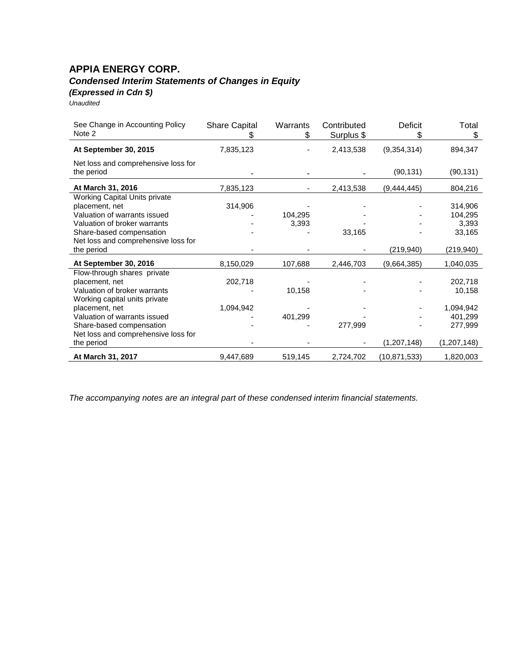## **APPIA ENERGY CORP.** *Condensed Interim Statements of Changes in Equity (Expressed in Cdn \$)*

| Unaudited |  |
|-----------|--|
|           |  |

| See Change in Accounting Policy<br>Note 2         | <b>Share Capital</b> | Warrants<br>S | Contributed<br>Surplus \$ | Deficit<br>\$  | Total<br>S  |
|---------------------------------------------------|----------------------|---------------|---------------------------|----------------|-------------|
| At September 30, 2015                             | 7,835,123            |               | 2,413,538                 | (9,354,314)    | 894,347     |
| Net loss and comprehensive loss for<br>the period |                      |               |                           | (90, 131)      | (90, 131)   |
| At March 31, 2016                                 | 7,835,123            |               | 2,413,538                 | (9,444,445)    | 804,216     |
| Working Capital Units private                     |                      |               |                           |                |             |
| placement, net                                    | 314,906              |               |                           |                | 314,906     |
| Valuation of warrants issued                      |                      | 104,295       |                           |                | 104,295     |
| Valuation of broker warrants                      |                      | 3,393         |                           |                | 3,393       |
| Share-based compensation                          |                      |               | 33,165                    |                | 33,165      |
| Net loss and comprehensive loss for               |                      |               |                           |                |             |
| the period                                        |                      |               |                           | (219, 940)     | (219, 940)  |
| At September 30, 2016                             | 8,150,029            | 107,688       | 2,446,703                 | (9,664,385)    | 1,040,035   |
| Flow-through shares private                       |                      |               |                           |                |             |
| placement, net                                    | 202,718              |               |                           |                | 202,718     |
| Valuation of broker warrants                      |                      | 10,158        |                           |                | 10,158      |
| Working capital units private                     |                      |               |                           |                |             |
| placement, net                                    | 1,094,942            |               |                           |                | 1,094,942   |
| Valuation of warrants issued                      |                      | 401,299       |                           |                | 401,299     |
| Share-based compensation                          |                      |               | 277,999                   |                | 277,999     |
| Net loss and comprehensive loss for               |                      |               |                           |                |             |
| the period                                        |                      |               |                           | (1,207,148)    | (1,207,148) |
| At March 31, 2017                                 | 9,447,689            | 519,145       | 2,724,702                 | (10, 871, 533) | 1,820,003   |

*The accompanying notes are an integral part of these condensed interim financial statements.*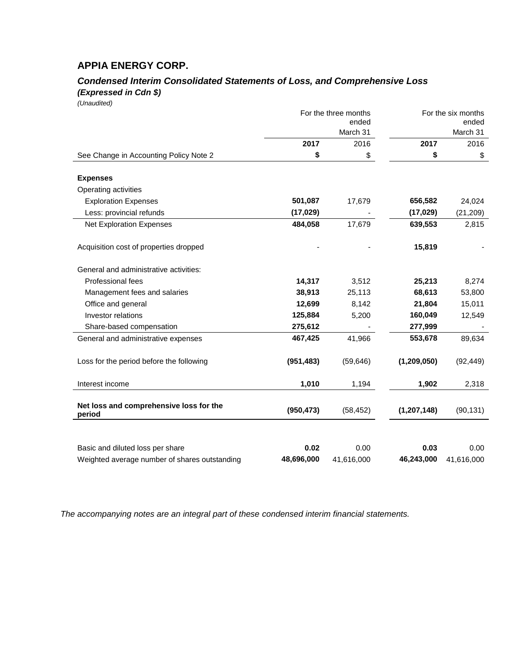## **APPIA ENERGY CORP.**

## *Condensed Interim Consolidated Statements of Loss, and Comprehensive Loss (Expressed in Cdn \$)*

*(Unaudited)*

|                                                   | For the three months<br>ended<br>March 31 |            |               | For the six months<br>ended<br>March 31 |
|---------------------------------------------------|-------------------------------------------|------------|---------------|-----------------------------------------|
|                                                   | 2017                                      | 2016       | 2017          | 2016                                    |
| See Change in Accounting Policy Note 2            | \$                                        | \$         | \$            | \$                                      |
| <b>Expenses</b>                                   |                                           |            |               |                                         |
| Operating activities                              |                                           |            |               |                                         |
| <b>Exploration Expenses</b>                       | 501,087                                   | 17,679     | 656,582       | 24,024                                  |
| Less: provincial refunds                          | (17, 029)                                 |            | (17, 029)     | (21, 209)                               |
| <b>Net Exploration Expenses</b>                   | 484,058                                   | 17,679     | 639,553       | 2,815                                   |
| Acquisition cost of properties dropped            |                                           |            | 15,819        |                                         |
| General and administrative activities:            |                                           |            |               |                                         |
| Professional fees                                 | 14,317                                    | 3,512      | 25,213        | 8,274                                   |
| Management fees and salaries                      | 38,913                                    | 25,113     | 68,613        | 53,800                                  |
| Office and general                                | 12,699                                    | 8,142      | 21,804        | 15,011                                  |
| Investor relations                                | 125,884                                   | 5,200      | 160,049       | 12,549                                  |
| Share-based compensation                          | 275,612                                   |            | 277,999       |                                         |
| General and administrative expenses               | 467,425                                   | 41,966     | 553,678       | 89,634                                  |
| Loss for the period before the following          | (951, 483)                                | (59, 646)  | (1, 209, 050) | (92, 449)                               |
| Interest income                                   | 1,010                                     | 1,194      | 1,902         | 2,318                                   |
| Net loss and comprehensive loss for the<br>period | (950, 473)                                | (58, 452)  | (1, 207, 148) | (90, 131)                               |
|                                                   |                                           |            |               |                                         |
| Basic and diluted loss per share                  | 0.02                                      | 0.00       | 0.03          | 0.00                                    |
| Weighted average number of shares outstanding     | 48,696,000                                | 41,616,000 | 46,243,000    | 41,616,000                              |

*The accompanying notes are an integral part of these condensed interim financial statements.*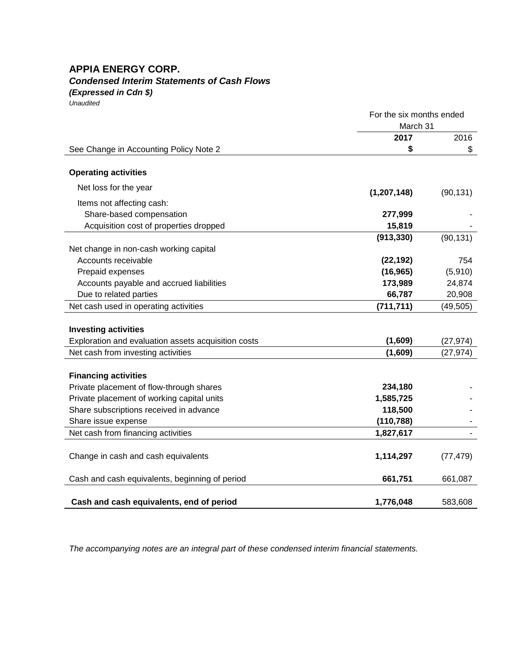## **APPIA ENERGY CORP.** *Condensed Interim Statements of Cash Flows*

*(Expressed in Cdn \$)*

*Unaudited*

|                                                     | For the six months ended<br>March 31 |           |
|-----------------------------------------------------|--------------------------------------|-----------|
|                                                     | 2017                                 | 2016      |
| See Change in Accounting Policy Note 2              | \$                                   | \$        |
| <b>Operating activities</b>                         |                                      |           |
| Net loss for the year                               | (1, 207, 148)                        | (90, 131) |
| Items not affecting cash:                           |                                      |           |
| Share-based compensation                            | 277,999                              |           |
| Acquisition cost of properties dropped              | 15,819                               |           |
|                                                     | (913, 330)                           | (90, 131) |
| Net change in non-cash working capital              |                                      |           |
| Accounts receivable                                 | (22, 192)                            | 754       |
| Prepaid expenses                                    | (16, 965)                            | (5,910)   |
| Accounts payable and accrued liabilities            | 173,989                              | 24,874    |
| Due to related parties                              | 66,787                               | 20,908    |
| Net cash used in operating activities               | (711, 711)                           | (49, 505) |
|                                                     |                                      |           |
| <b>Investing activities</b>                         |                                      |           |
| Exploration and evaluation assets acquisition costs | (1,609)                              | (27, 974) |
| Net cash from investing activities                  | (1,609)                              | (27, 974) |
|                                                     |                                      |           |
| <b>Financing activities</b>                         |                                      |           |
| Private placement of flow-through shares            | 234,180                              |           |
| Private placement of working capital units          | 1,585,725                            |           |
| Share subscriptions received in advance             | 118,500                              |           |
| Share issue expense                                 | (110, 788)                           |           |
| Net cash from financing activities                  | 1,827,617                            |           |
|                                                     |                                      |           |
| Change in cash and cash equivalents                 | 1,114,297                            | (77, 479) |
| Cash and cash equivalents, beginning of period      | 661,751                              | 661,087   |
| Cash and cash equivalents, end of period            | 1,776,048                            | 583,608   |
|                                                     |                                      |           |

*The accompanying notes are an integral part of these condensed interim financial statements.*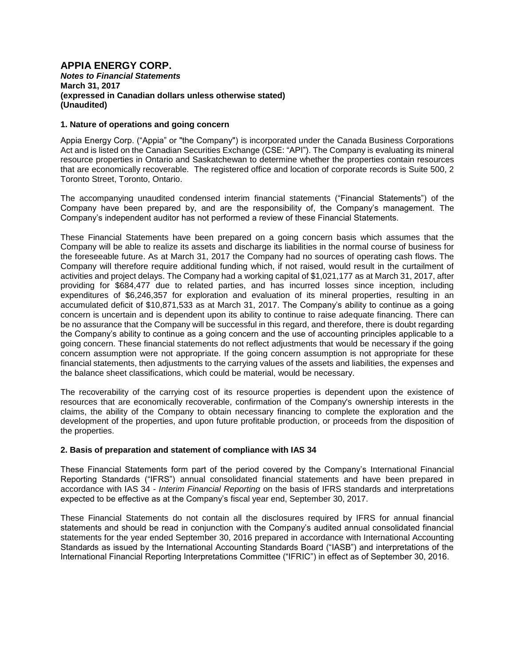#### **APPIA ENERGY CORP.** *Notes to Financial Statements* **March 31, 2017 (expressed in Canadian dollars unless otherwise stated) (Unaudited)**

#### **1. Nature of operations and going concern**

Appia Energy Corp. ("Appia" or "the Company") is incorporated under the Canada Business Corporations Act and is listed on the Canadian Securities Exchange (CSE: "API"). The Company is evaluating its mineral resource properties in Ontario and Saskatchewan to determine whether the properties contain resources that are economically recoverable. The registered office and location of corporate records is Suite 500, 2 Toronto Street, Toronto, Ontario.

The accompanying unaudited condensed interim financial statements ("Financial Statements") of the Company have been prepared by, and are the responsibility of, the Company's management. The Company's independent auditor has not performed a review of these Financial Statements.

These Financial Statements have been prepared on a going concern basis which assumes that the Company will be able to realize its assets and discharge its liabilities in the normal course of business for the foreseeable future. As at March 31, 2017 the Company had no sources of operating cash flows. The Company will therefore require additional funding which, if not raised, would result in the curtailment of activities and project delays. The Company had a working capital of \$1,021,177 as at March 31, 2017, after providing for \$684,477 due to related parties, and has incurred losses since inception, including expenditures of \$6,246,357 for exploration and evaluation of its mineral properties, resulting in an accumulated deficit of \$10,871,533 as at March 31, 2017. The Company's ability to continue as a going concern is uncertain and is dependent upon its ability to continue to raise adequate financing. There can be no assurance that the Company will be successful in this regard, and therefore, there is doubt regarding the Company's ability to continue as a going concern and the use of accounting principles applicable to a going concern. These financial statements do not reflect adjustments that would be necessary if the going concern assumption were not appropriate. If the going concern assumption is not appropriate for these financial statements, then adjustments to the carrying values of the assets and liabilities, the expenses and the balance sheet classifications, which could be material, would be necessary.

The recoverability of the carrying cost of its resource properties is dependent upon the existence of resources that are economically recoverable, confirmation of the Company's ownership interests in the claims, the ability of the Company to obtain necessary financing to complete the exploration and the development of the properties, and upon future profitable production, or proceeds from the disposition of the properties.

#### **2. Basis of preparation and statement of compliance with IAS 34**

These Financial Statements form part of the period covered by the Company's International Financial Reporting Standards ("IFRS") annual consolidated financial statements and have been prepared in accordance with IAS 34 - *Interim Financial Reporting* on the basis of IFRS standards and interpretations expected to be effective as at the Company's fiscal year end, September 30, 2017.

These Financial Statements do not contain all the disclosures required by IFRS for annual financial statements and should be read in conjunction with the Company's audited annual consolidated financial statements for the year ended September 30, 2016 prepared in accordance with International Accounting Standards as issued by the International Accounting Standards Board ("IASB") and interpretations of the International Financial Reporting Interpretations Committee ("IFRIC") in effect as of September 30, 2016.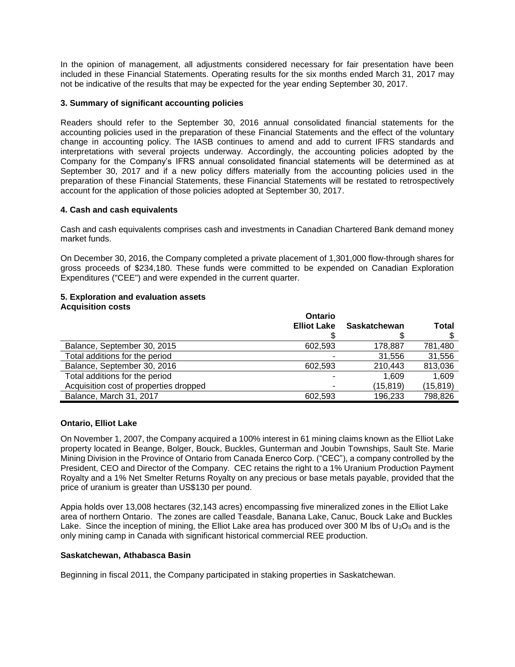In the opinion of management, all adjustments considered necessary for fair presentation have been included in these Financial Statements. Operating results for the six months ended March 31, 2017 may not be indicative of the results that may be expected for the year ending September 30, 2017.

#### **3. Summary of significant accounting policies**

Readers should refer to the September 30, 2016 annual consolidated financial statements for the accounting policies used in the preparation of these Financial Statements and the effect of the voluntary change in accounting policy. The IASB continues to amend and add to current IFRS standards and interpretations with several projects underway. Accordingly, the accounting policies adopted by the Company for the Company's IFRS annual consolidated financial statements will be determined as at September 30, 2017 and if a new policy differs materially from the accounting policies used in the preparation of these Financial Statements, these Financial Statements will be restated to retrospectively account for the application of those policies adopted at September 30, 2017.

#### **4. Cash and cash equivalents**

Cash and cash equivalents comprises cash and investments in Canadian Chartered Bank demand money market funds.

On December 30, 2016, the Company completed a private placement of 1,301,000 flow-through shares for gross proceeds of \$234,180. These funds were committed to be expended on Canadian Exploration Expenditures ("CEE") and were expended in the current quarter.

#### **5. Exploration and evaluation assets Acquisition costs**

|                                        | Ontario            |              |           |
|----------------------------------------|--------------------|--------------|-----------|
|                                        | <b>Elliot Lake</b> | Saskatchewan | Total     |
|                                        |                    |              |           |
| Balance, September 30, 2015            | 602.593            | 178,887      | 781,480   |
| Total additions for the period         |                    | 31,556       | 31,556    |
| Balance, September 30, 2016            | 602.593            | 210,443      | 813,036   |
| Total additions for the period         |                    | 1.609        | 1,609     |
| Acquisition cost of properties dropped |                    | (15, 819)    | (15, 819) |
| Balance, March 31, 2017                | 602.593            | 196.233      | 798,826   |

#### **Ontario, Elliot Lake**

On November 1, 2007, the Company acquired a 100% interest in 61 mining claims known as the Elliot Lake property located in Beange, Bolger, Bouck, Buckles, Gunterman and Joubin Townships, Sault Ste. Marie Mining Division in the Province of Ontario from Canada Enerco Corp. ("CEC"), a company controlled by the President, CEO and Director of the Company. CEC retains the right to a 1% Uranium Production Payment Royalty and a 1% Net Smelter Returns Royalty on any precious or base metals payable, provided that the price of uranium is greater than US\$130 per pound.

Appia holds over 13,008 hectares (32,143 acres) encompassing five mineralized zones in the Elliot Lake area of northern Ontario. The zones are called Teasdale, Banana Lake, Canuc, Bouck Lake and Buckles Lake. Since the inception of mining, the Elliot Lake area has produced over 300 M lbs of  $U_3O_8$  and is the only mining camp in Canada with significant historical commercial REE production.

#### **Saskatchewan, Athabasca Basin**

Beginning in fiscal 2011, the Company participated in staking properties in Saskatchewan.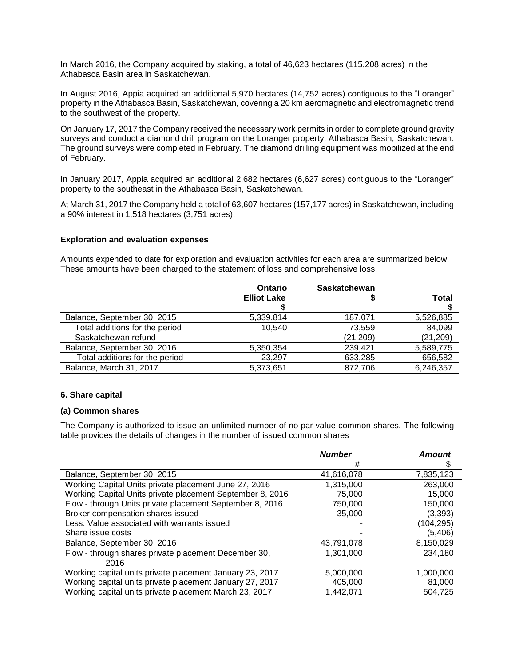In March 2016, the Company acquired by staking, a total of 46,623 hectares (115,208 acres) in the Athabasca Basin area in Saskatchewan.

In August 2016, Appia acquired an additional 5,970 hectares (14,752 acres) contiguous to the "Loranger" property in the Athabasca Basin, Saskatchewan, covering a 20 km aeromagnetic and electromagnetic trend to the southwest of the property.

On January 17, 2017 the Company received the necessary work permits in order to complete ground gravity surveys and conduct a diamond drill program on the Loranger property, Athabasca Basin, Saskatchewan. The ground surveys were completed in February. The diamond drilling equipment was mobilized at the end of February.

In January 2017, Appia acquired an additional 2,682 hectares (6,627 acres) contiguous to the "Loranger" property to the southeast in the Athabasca Basin, Saskatchewan.

At March 31, 2017 the Company held a total of 63,607 hectares (157,177 acres) in Saskatchewan, including a 90% interest in 1,518 hectares (3,751 acres).

#### **Exploration and evaluation expenses**

Amounts expended to date for exploration and evaluation activities for each area are summarized below. These amounts have been charged to the statement of loss and comprehensive loss.

|                                | Ontario            | <b>Saskatchewan</b> |           |
|--------------------------------|--------------------|---------------------|-----------|
|                                | <b>Elliot Lake</b> |                     | Total     |
|                                |                    |                     |           |
| Balance, September 30, 2015    | 5,339,814          | 187,071             | 5,526,885 |
| Total additions for the period | 10,540             | 73.559              | 84,099    |
| Saskatchewan refund            |                    | (21, 209)           | (21, 209) |
| Balance, September 30, 2016    | 5,350,354          | 239,421             | 5,589,775 |
| Total additions for the period | 23,297             | 633,285             | 656,582   |
| Balance, March 31, 2017        | 5,373,651          | 872,706             | 6,246,357 |

#### **6. Share capital**

#### **(a) Common shares**

The Company is authorized to issue an unlimited number of no par value common shares. The following table provides the details of changes in the number of issued common shares

|                                                           | <b>Number</b> | <b>Amount</b> |
|-----------------------------------------------------------|---------------|---------------|
|                                                           | #             | \$            |
| Balance, September 30, 2015                               | 41,616,078    | 7,835,123     |
| Working Capital Units private placement June 27, 2016     | 1,315,000     | 263,000       |
| Working Capital Units private placement September 8, 2016 | 75,000        | 15.000        |
| Flow - through Units private placement September 8, 2016  | 750,000       | 150,000       |
| Broker compensation shares issued                         | 35,000        | (3,393)       |
| Less: Value associated with warrants issued               |               | (104, 295)    |
| Share issue costs                                         |               | (5,406)       |
| Balance, September 30, 2016                               | 43,791,078    | 8,150,029     |
| Flow - through shares private placement December 30,      | 1,301,000     | 234,180       |
| 2016                                                      |               |               |
| Working capital units private placement January 23, 2017  | 5,000,000     | 1.000.000     |
| Working capital units private placement January 27, 2017  | 405,000       | 81.000        |
| Working capital units private placement March 23, 2017    | 1.442.071     | 504.725       |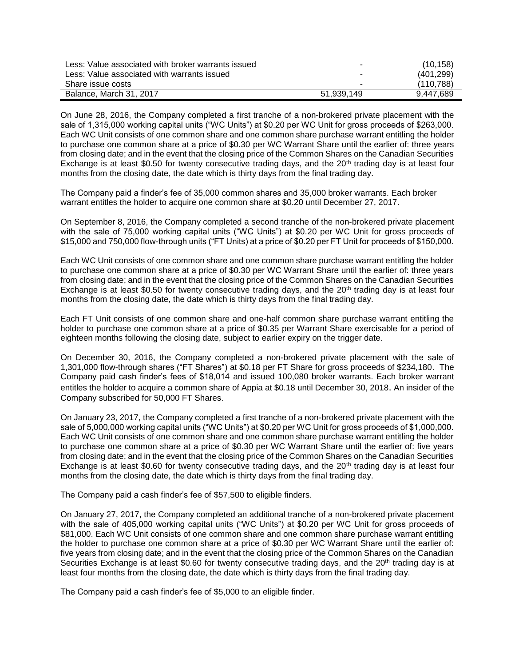| Less: Value associated with broker warrants issued | ۰          | (10, 158)  |
|----------------------------------------------------|------------|------------|
| Less: Value associated with warrants issued        | -          | (401.299)  |
| Share issue costs                                  | -          | (110, 788) |
| Balance, March 31, 2017                            | 51.939.149 | 9.447.689  |

On June 28, 2016, the Company completed a first tranche of a non-brokered private placement with the sale of 1,315,000 working capital units ("WC Units") at \$0.20 per WC Unit for gross proceeds of \$263,000. Each WC Unit consists of one common share and one common share purchase warrant entitling the holder to purchase one common share at a price of \$0.30 per WC Warrant Share until the earlier of: three years from closing date; and in the event that the closing price of the Common Shares on the Canadian Securities Exchange is at least \$0.50 for twenty consecutive trading days, and the 20<sup>th</sup> trading day is at least four months from the closing date, the date which is thirty days from the final trading day.

The Company paid a finder's fee of 35,000 common shares and 35,000 broker warrants. Each broker warrant entitles the holder to acquire one common share at \$0.20 until December 27, 2017.

On September 8, 2016, the Company completed a second tranche of the non-brokered private placement with the sale of 75,000 working capital units ("WC Units") at \$0.20 per WC Unit for gross proceeds of \$15,000 and 750,000 flow-through units ("FT Units) at a price of \$0.20 per FT Unit for proceeds of \$150,000.

Each WC Unit consists of one common share and one common share purchase warrant entitling the holder to purchase one common share at a price of \$0.30 per WC Warrant Share until the earlier of: three years from closing date; and in the event that the closing price of the Common Shares on the Canadian Securities Exchange is at least \$0.50 for twenty consecutive trading days, and the 20<sup>th</sup> trading day is at least four months from the closing date, the date which is thirty days from the final trading day.

Each FT Unit consists of one common share and one-half common share purchase warrant entitling the holder to purchase one common share at a price of \$0.35 per Warrant Share exercisable for a period of eighteen months following the closing date, subject to earlier expiry on the trigger date.

On December 30, 2016, the Company completed a non-brokered private placement with the sale of 1,301,000 flow-through shares ("FT Shares") at \$0.18 per FT Share for gross proceeds of \$234,180. The Company paid cash finder's fees of \$18,014 and issued 100,080 broker warrants. Each broker warrant entitles the holder to acquire a common share of Appia at \$0.18 until December 30, 2018. An insider of the Company subscribed for 50,000 FT Shares.

On January 23, 2017, the Company completed a first tranche of a non-brokered private placement with the sale of 5,000,000 working capital units ("WC Units") at \$0.20 per WC Unit for gross proceeds of \$1,000,000. Each WC Unit consists of one common share and one common share purchase warrant entitling the holder to purchase one common share at a price of \$0.30 per WC Warrant Share until the earlier of: five years from closing date; and in the event that the closing price of the Common Shares on the Canadian Securities Exchange is at least \$0.60 for twenty consecutive trading days, and the  $20<sup>th</sup>$  trading day is at least four months from the closing date, the date which is thirty days from the final trading day.

The Company paid a cash finder's fee of \$57,500 to eligible finders.

On January 27, 2017, the Company completed an additional tranche of a non-brokered private placement with the sale of 405,000 working capital units ("WC Units") at \$0.20 per WC Unit for gross proceeds of \$81,000. Each WC Unit consists of one common share and one common share purchase warrant entitling the holder to purchase one common share at a price of \$0.30 per WC Warrant Share until the earlier of: five years from closing date; and in the event that the closing price of the Common Shares on the Canadian Securities Exchange is at least \$0.60 for twenty consecutive trading days, and the  $20<sup>th</sup>$  trading day is at least four months from the closing date, the date which is thirty days from the final trading day.

The Company paid a cash finder's fee of \$5,000 to an eligible finder.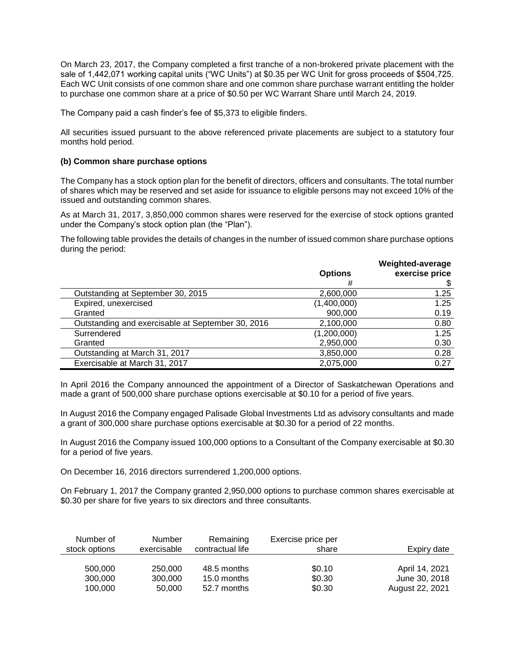On March 23, 2017, the Company completed a first tranche of a non-brokered private placement with the sale of 1,442,071 working capital units ("WC Units") at \$0.35 per WC Unit for gross proceeds of \$504,725. Each WC Unit consists of one common share and one common share purchase warrant entitling the holder to purchase one common share at a price of \$0.50 per WC Warrant Share until March 24, 2019.

The Company paid a cash finder's fee of \$5,373 to eligible finders.

All securities issued pursuant to the above referenced private placements are subject to a statutory four months hold period.

#### **(b) Common share purchase options**

The Company has a stock option plan for the benefit of directors, officers and consultants. The total number of shares which may be reserved and set aside for issuance to eligible persons may not exceed 10% of the issued and outstanding common shares.

As at March 31, 2017, 3,850,000 common shares were reserved for the exercise of stock options granted under the Company's stock option plan (the "Plan").

The following table provides the details of changes in the number of issued common share purchase options during the period:

|                                                   | <b>Options</b><br># | Weighted-average<br>exercise price |
|---------------------------------------------------|---------------------|------------------------------------|
| Outstanding at September 30, 2015                 | 2,600,000           | 1.25                               |
| Expired, unexercised                              | (1,400,000)         | 1.25                               |
| Granted                                           | 900,000             | 0.19                               |
| Outstanding and exercisable at September 30, 2016 | 2,100,000           | 0.80                               |
| Surrendered                                       | (1,200,000)         | 1.25                               |
| Granted                                           | 2,950,000           | 0.30                               |
| Outstanding at March 31, 2017                     | 3,850,000           | 0.28                               |
| Exercisable at March 31, 2017                     | 2,075,000           | 0.27                               |
|                                                   |                     |                                    |

In April 2016 the Company announced the appointment of a Director of Saskatchewan Operations and made a grant of 500,000 share purchase options exercisable at \$0.10 for a period of five years.

In August 2016 the Company engaged Palisade Global Investments Ltd as advisory consultants and made a grant of 300,000 share purchase options exercisable at \$0.30 for a period of 22 months.

In August 2016 the Company issued 100,000 options to a Consultant of the Company exercisable at \$0.30 for a period of five years.

On December 16, 2016 directors surrendered 1,200,000 options.

On February 1, 2017 the Company granted 2,950,000 options to purchase common shares exercisable at \$0.30 per share for five years to six directors and three consultants.

| Number of     | <b>Number</b> | Remaining        | Exercise price per | Expiry date     |
|---------------|---------------|------------------|--------------------|-----------------|
| stock options | exercisable   | contractual life | share              |                 |
| 500,000       | 250,000       | 48.5 months      | \$0.10             | April 14, 2021  |
| 300,000       | 300,000       | 15.0 months      | \$0.30             | June 30, 2018   |
| 100.000       | 50,000        | 52.7 months      | \$0.30             | August 22, 2021 |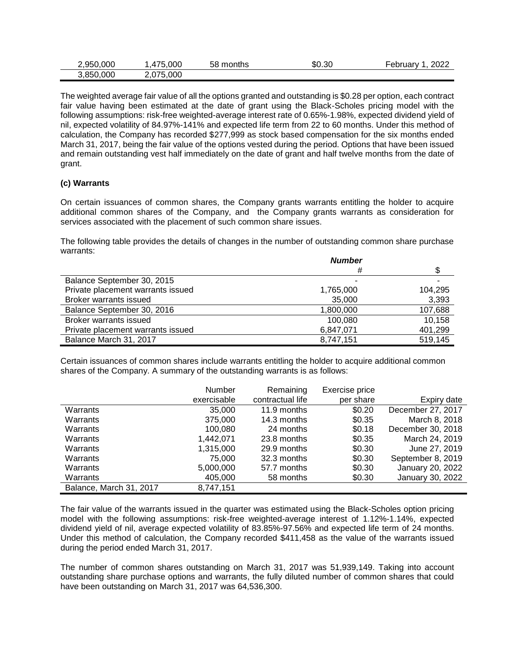| : 950.000 | .000<br>4                    | 58<br>months | \$0.30 | _<br>2022<br>Februarv |
|-----------|------------------------------|--------------|--------|-----------------------|
| 3,850,000 | 5,000<br>075<br><u>. v i</u> |              |        |                       |

The weighted average fair value of all the options granted and outstanding is \$0.28 per option, each contract fair value having been estimated at the date of grant using the Black-Scholes pricing model with the following assumptions: risk-free weighted-average interest rate of 0.65%-1.98%, expected dividend yield of nil, expected volatility of 84.97%-141% and expected life term from 22 to 60 months. Under this method of calculation, the Company has recorded \$277,999 as stock based compensation for the six months ended March 31, 2017, being the fair value of the options vested during the period. Options that have been issued and remain outstanding vest half immediately on the date of grant and half twelve months from the date of grant.

#### **(c) Warrants**

On certain issuances of common shares, the Company grants warrants entitling the holder to acquire additional common shares of the Company, and the Company grants warrants as consideration for services associated with the placement of such common share issues.

The following table provides the details of changes in the number of outstanding common share purchase warrants:

|                                   | <b>Number</b> |         |  |
|-----------------------------------|---------------|---------|--|
|                                   | #             |         |  |
| Balance September 30, 2015        |               |         |  |
| Private placement warrants issued | 1,765,000     | 104.295 |  |
| Broker warrants issued            | 35,000        | 3,393   |  |
| Balance September 30, 2016        | 1,800,000     | 107,688 |  |
| Broker warrants issued            | 100,080       | 10,158  |  |
| Private placement warrants issued | 6,847,071     | 401,299 |  |
| Balance March 31, 2017            | 8,747,151     | 519,145 |  |

Certain issuances of common shares include warrants entitling the holder to acquire additional common shares of the Company. A summary of the outstanding warrants is as follows:

|                         | <b>Number</b> | Remaining        | Exercise price |                   |
|-------------------------|---------------|------------------|----------------|-------------------|
|                         | exercisable   | contractual life | per share      | Expiry date       |
| Warrants                | 35,000        | 11.9 months      | \$0.20         | December 27, 2017 |
| Warrants                | 375,000       | 14.3 months      | \$0.35         | March 8, 2018     |
| Warrants                | 100,080       | 24 months        | \$0.18         | December 30, 2018 |
| Warrants                | 1.442.071     | 23.8 months      | \$0.35         | March 24, 2019    |
| Warrants                | 1,315,000     | 29.9 months      | \$0.30         | June 27, 2019     |
| Warrants                | 75,000        | 32.3 months      | \$0.30         | September 8, 2019 |
| Warrants                | 5,000,000     | 57.7 months      | \$0.30         | January 20, 2022  |
| Warrants                | 405,000       | 58 months        | \$0.30         | January 30, 2022  |
| Balance, March 31, 2017 | 8,747,151     |                  |                |                   |

The fair value of the warrants issued in the quarter was estimated using the Black-Scholes option pricing model with the following assumptions: risk-free weighted-average interest of 1.12%-1.14%, expected dividend yield of nil, average expected volatility of 83.85%-97.56% and expected life term of 24 months. Under this method of calculation, the Company recorded \$411,458 as the value of the warrants issued during the period ended March 31, 2017.

The number of common shares outstanding on March 31, 2017 was 51,939,149. Taking into account outstanding share purchase options and warrants, the fully diluted number of common shares that could have been outstanding on March 31, 2017 was 64,536,300.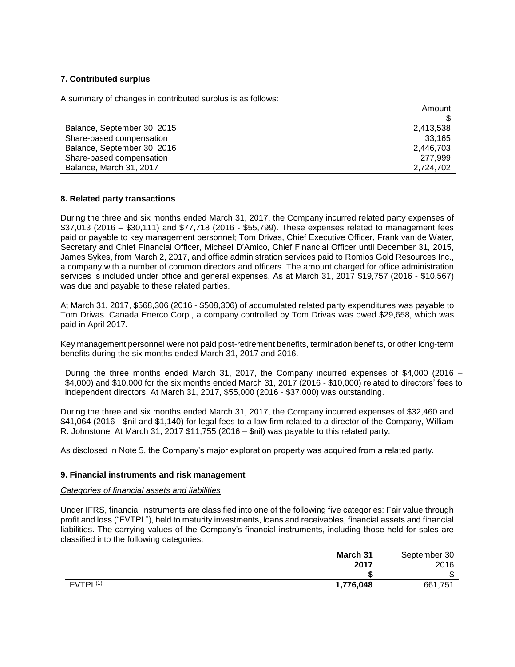#### **7. Contributed surplus**

A summary of changes in contributed surplus is as follows:

|                             | Amount    |
|-----------------------------|-----------|
|                             |           |
| Balance, September 30, 2015 | 2,413,538 |
| Share-based compensation    | 33,165    |
| Balance, September 30, 2016 | 2,446,703 |
| Share-based compensation    | 277.999   |
| Balance, March 31, 2017     | 2.724.702 |

#### **8. Related party transactions**

During the three and six months ended March 31, 2017, the Company incurred related party expenses of \$37,013 (2016 – \$30,111) and \$77,718 (2016 - \$55,799). These expenses related to management fees paid or payable to key management personnel; Tom Drivas, Chief Executive Officer, Frank van de Water, Secretary and Chief Financial Officer, Michael D'Amico, Chief Financial Officer until December 31, 2015, James Sykes, from March 2, 2017, and office administration services paid to Romios Gold Resources Inc., a company with a number of common directors and officers. The amount charged for office administration services is included under office and general expenses. As at March 31, 2017 \$19,757 (2016 - \$10,567) was due and payable to these related parties.

At March 31, 2017, \$568,306 (2016 - \$508,306) of accumulated related party expenditures was payable to Tom Drivas. Canada Enerco Corp., a company controlled by Tom Drivas was owed \$29,658, which was paid in April 2017.

Key management personnel were not paid post-retirement benefits, termination benefits, or other long-term benefits during the six months ended March 31, 2017 and 2016.

During the three months ended March 31, 2017, the Company incurred expenses of \$4,000 (2016 – \$4,000) and \$10,000 for the six months ended March 31, 2017 (2016 - \$10,000) related to directors' fees to independent directors. At March 31, 2017, \$55,000 (2016 - \$37,000) was outstanding.

During the three and six months ended March 31, 2017, the Company incurred expenses of \$32,460 and \$41,064 (2016 - \$nil and \$1,140) for legal fees to a law firm related to a director of the Company, William R. Johnstone. At March 31, 2017 \$11,755 (2016 – \$nil) was payable to this related party.

As disclosed in Note 5, the Company's major exploration property was acquired from a related party.

#### **9. Financial instruments and risk management**

#### *Categories of financial assets and liabilities*

Under IFRS, financial instruments are classified into one of the following five categories: Fair value through profit and loss ("FVTPL"), held to maturity investments, loans and receivables, financial assets and financial liabilities. The carrying values of the Company's financial instruments, including those held for sales are classified into the following categories:

| March 31              | September 30 |
|-----------------------|--------------|
| 2017                  | 2016         |
|                       | \$<br>-0     |
| FVTPL(1)<br>1,776,048 | 661,751      |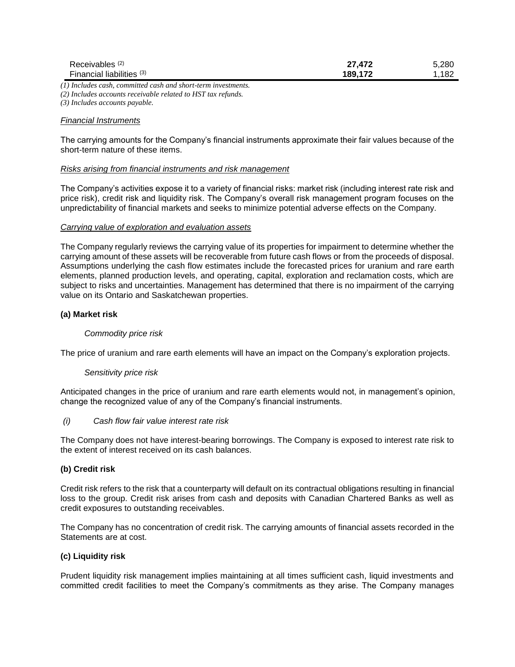| Receivables <sup>(2)</sup> | 27,472  | 5.280 |
|----------------------------|---------|-------|
| Financial liabilities (3)  | 189,172 | 182   |

*(1) Includes cash, committed cash and short-term investments. (2) Includes accounts receivable related to HST tax refunds.*

*(3) Includes accounts payable.*

#### *Financial Instruments*

The carrying amounts for the Company's financial instruments approximate their fair values because of the short-term nature of these items.

#### *Risks arising from financial instruments and risk management*

The Company's activities expose it to a variety of financial risks: market risk (including interest rate risk and price risk), credit risk and liquidity risk. The Company's overall risk management program focuses on the unpredictability of financial markets and seeks to minimize potential adverse effects on the Company.

#### *Carrying value of exploration and evaluation assets*

The Company regularly reviews the carrying value of its properties for impairment to determine whether the carrying amount of these assets will be recoverable from future cash flows or from the proceeds of disposal. Assumptions underlying the cash flow estimates include the forecasted prices for uranium and rare earth elements, planned production levels, and operating, capital, exploration and reclamation costs, which are subject to risks and uncertainties. Management has determined that there is no impairment of the carrying value on its Ontario and Saskatchewan properties.

#### **(a) Market risk**

#### *Commodity price risk*

The price of uranium and rare earth elements will have an impact on the Company's exploration projects.

#### *Sensitivity price risk*

Anticipated changes in the price of uranium and rare earth elements would not, in management's opinion, change the recognized value of any of the Company's financial instruments.

#### *(i) Cash flow fair value interest rate risk*

The Company does not have interest-bearing borrowings. The Company is exposed to interest rate risk to the extent of interest received on its cash balances.

#### **(b) Credit risk**

Credit risk refers to the risk that a counterparty will default on its contractual obligations resulting in financial loss to the group. Credit risk arises from cash and deposits with Canadian Chartered Banks as well as credit exposures to outstanding receivables.

The Company has no concentration of credit risk. The carrying amounts of financial assets recorded in the Statements are at cost.

#### **(c) Liquidity risk**

Prudent liquidity risk management implies maintaining at all times sufficient cash, liquid investments and committed credit facilities to meet the Company's commitments as they arise. The Company manages